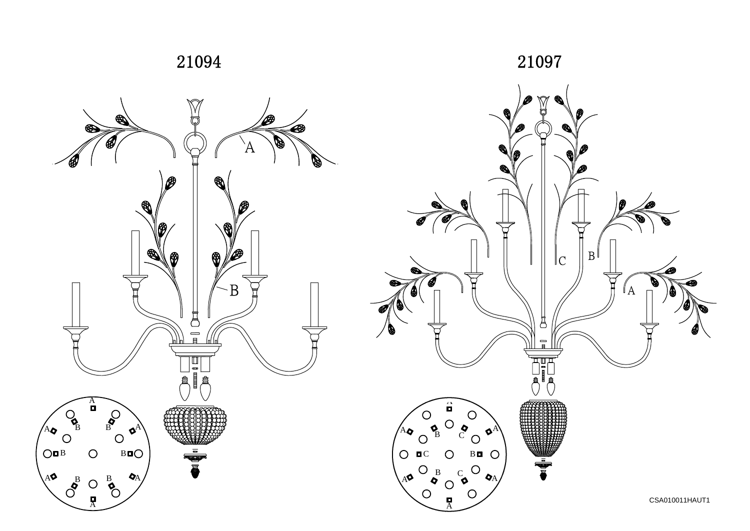